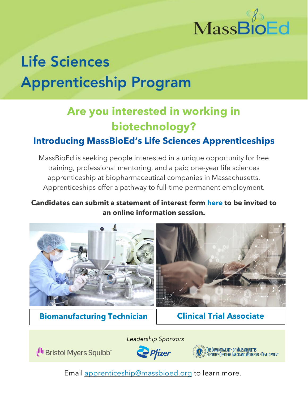

# **Life Sciences Apprenticeship Program**

## **Are you interested in working in biotechnology? Introducing MassBioEd's Life Sciences Apprenticeships**

MassBioEd is seeking people interested in a unique opportunity for free training, professional mentoring, and a paid one-year life sciences apprenticeship at biopharmaceutical companies in Massachusetts. Apprenticeships offer a pathway to full-time permanent employment.

### **Candidates can submit a statement of interest form [here](https://www.massbioed.org/events/506-massbioed-apprenticeship-program-candidate-application-form) to be invited to an online information session.**



**Biomanufacturing Technician** 

**Clinical Trial Associate**

*Leadership Sponsors* 

Ull Bristol Myers Squibb



THE COMMONWEALTH OF MASSACHUSETTS EXECUTIVE OFFICE OF LABOR AND WORKFORCE DEVELOPMENT

Email [apprenticeship@massbioed.org](mailto:apprenticeship@massbioed.org) to learn more.